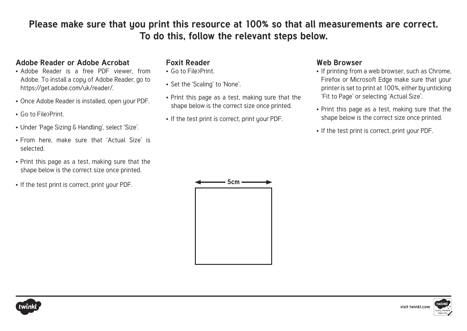## **Please make sure that you print this resource at 100% so that all measurements are correct. To do this, follow the relevant steps below.**

## **Adobe Reader or Adobe Acrobat**

- Adobe Reader is a free PDF viewer, from Adobe. To install a copy of Adobe Reader, go to https://get.adobe.com/uk/reader/.
- Once Adobe Reader is installed, open your PDF.
- Go to File>Print.
- Under 'Page Sizing & Handling', select 'Size'.
- From here, make sure that 'Actual Size' is selected.
- Print this page as a test, making sure that the shape below is the correct size once printed.
- If the test print is correct, print your PDF.

## **Foxit Reader**

- Go to File>Print.
- Set the 'Scaling' to 'None'.
- Print this page as a test, making sure that the shape below is the correct size once printed.
- If the test print is correct, print your PDF.

## **Web Browser**

- If printing from a web browser, such as Chrome, Firefox or Microsoft Edge make sure that your printer is set to print at 100%, either by unticking 'Fit to Page' or selecting 'Actual Size'.
- Print this page as a test, making sure that the shape below is the correct size once printed.
- If the test print is correct, print your PDF.





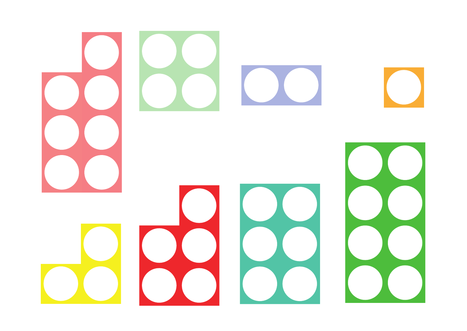